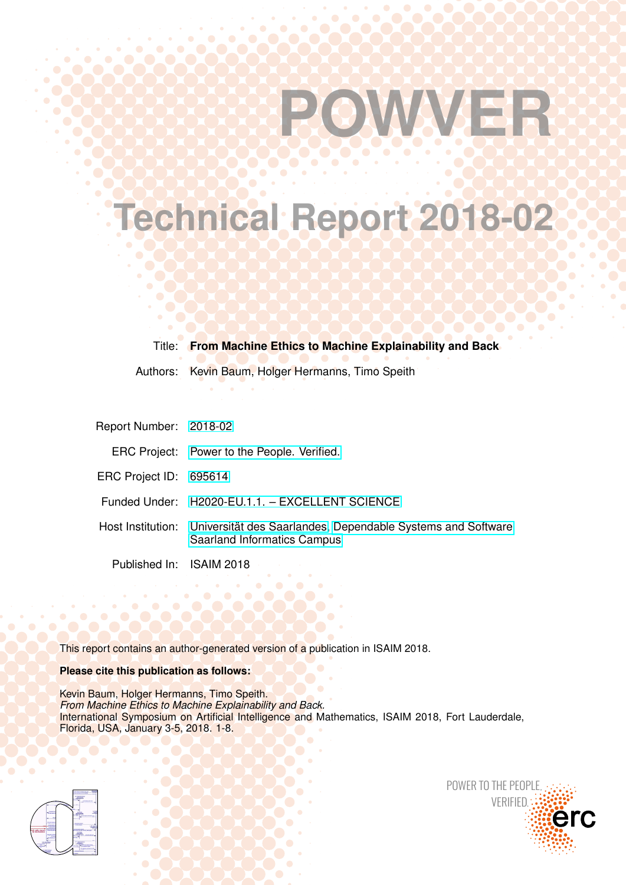# **POWVER**

**Technical Report 2018-02**

Title: **From Machine Ethics to Machine Explainability and Back**

Authors: Kevin Baum, Holger Hermanns, Timo Speith

| Report Number: 2018-02   |                                                                                                                     |
|--------------------------|---------------------------------------------------------------------------------------------------------------------|
|                          | ERC Project: Power to the People. Verified.                                                                         |
| ERC Project ID: 695614   |                                                                                                                     |
|                          | Funded Under: H2020-EU.1.1. - EXCELLENT SCIENCE                                                                     |
|                          | Host Institution: Universität des Saarlandes, Dependable Systems and Software<br><b>Saarland Informatics Campus</b> |
| Published In: ISAIM 2018 |                                                                                                                     |

This report contains an author-generated version of a publication in ISAIM 2018.

# **Please cite this publication as follows:**

Kevin Baum, Holger Hermanns, Timo Speith. *From Machine Ethics to Machine Explainability and Back.* International Symposium on Artificial Intelligence and Mathematics, ISAIM 2018, Fort Lauderdale, Florida, USA, January 3-5, 2018. 1-8.



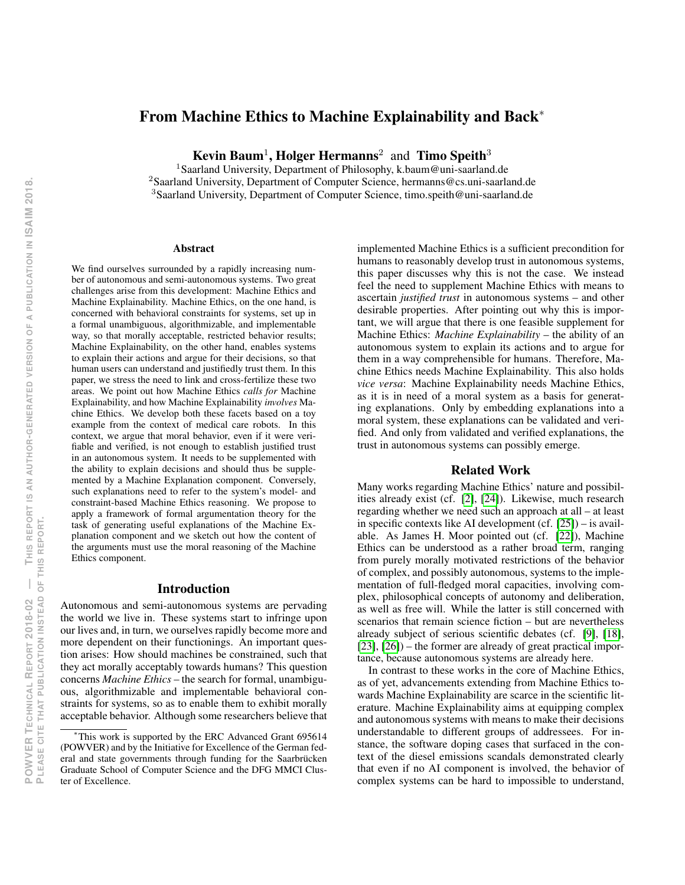# From Machine Ethics to Machine Explainability and Back<sup>∗</sup>

Kevin Baum<sup>1</sup>, Holger Hermanns<sup>2</sup> and Timo Speith<sup>3</sup>

<sup>1</sup>Saarland University, Department of Philosophy, k.baum@uni-saarland.de

<sup>2</sup>Saarland University, Department of Computer Science, hermanns@cs.uni-saarland.de <sup>3</sup>Saarland University, Department of Computer Science, timo.speith@uni-saarland.de

#### **Abstract**

We find ourselves surrounded by a rapidly increasing number of autonomous and semi-autonomous systems. Two great challenges arise from this development: Machine Ethics and Machine Explainability. Machine Ethics, on the one hand, is concerned with behavioral constraints for systems, set up in a formal unambiguous, algorithmizable, and implementable way, so that morally acceptable, restricted behavior results; Machine Explainability, on the other hand, enables systems to explain their actions and argue for their decisions, so that human users can understand and justifiedly trust them. In this paper, we stress the need to link and cross-fertilize these two areas. We point out how Machine Ethics *calls for* Machine Explainability, and how Machine Explainability *involves* Machine Ethics. We develop both these facets based on a toy example from the context of medical care robots. In this context, we argue that moral behavior, even if it were verifiable and verified, is not enough to establish justified trust in an autonomous system. It needs to be supplemented with the ability to explain decisions and should thus be supplemented by a Machine Explanation component. Conversely, such explanations need to refer to the system's model- and constraint-based Machine Ethics reasoning. We propose to apply a framework of formal argumentation theory for the task of generating useful explanations of the Machine Explanation component and we sketch out how the content of the arguments must use the moral reasoning of the Machine Ethics component.

#### Introduction

Autonomous and semi-autonomous systems are pervading the world we live in. These systems start to infringe upon our lives and, in turn, we ourselves rapidly become more and more dependent on their functionings. An important question arises: How should machines be constrained, such that they act morally acceptably towards humans? This question concerns *Machine Ethics* – the search for formal, unambiguous, algorithmizable and implementable behavioral constraints for systems, so as to enable them to exhibit morally acceptable behavior. Although some researchers believe that

implemented Machine Ethics is a sufficient precondition for humans to reasonably develop trust in autonomous systems, this paper discusses why this is not the case. We instead feel the need to supplement Machine Ethics with means to ascertain *justified trust* in autonomous systems – and other desirable properties. After pointing out why this is important, we will argue that there is one feasible supplement for Machine Ethics: *Machine Explainability* – the ability of an autonomous system to explain its actions and to argue for them in a way comprehensible for humans. Therefore, Machine Ethics needs Machine Explainability. This also holds *vice versa*: Machine Explainability needs Machine Ethics, as it is in need of a moral system as a basis for generating explanations. Only by embedding explanations into a moral system, these explanations can be validated and verified. And only from validated and verified explanations, the trust in autonomous systems can possibly emerge.

# Related Work

Many works regarding Machine Ethics' nature and possibilities already exist (cf. [\[2\]](#page-8-0), [\[24\]](#page-8-1)). Likewise, much research regarding whether we need such an approach at all – at least in specific contexts like AI development (cf. [\[25\]](#page-8-2)) – is available. As James H. Moor pointed out (cf. [\[22\]](#page-8-3)), Machine Ethics can be understood as a rather broad term, ranging from purely morally motivated restrictions of the behavior of complex, and possibly autonomous, systems to the implementation of full-fledged moral capacities, involving complex, philosophical concepts of autonomy and deliberation, as well as free will. While the latter is still concerned with scenarios that remain science fiction – but are nevertheless already subject of serious scientific debates (cf. [\[9\]](#page-8-4), [\[18\]](#page-8-5), [\[23\]](#page-8-6), [\[26\]](#page-8-7)) – the former are already of great practical importance, because autonomous systems are already here.

In contrast to these works in the core of Machine Ethics, as of yet, advancements extending from Machine Ethics towards Machine Explainability are scarce in the scientific literature. Machine Explainability aims at equipping complex and autonomous systems with means to make their decisions understandable to different groups of addressees. For instance, the software doping cases that surfaced in the context of the diesel emissions scandals demonstrated clearly that even if no AI component is involved, the behavior of complex systems can be hard to impossible to understand,

This work is supported by the ERC Advanced Grant 695614 (POWVER) and by the Initiative for Excellence of the German federal and state governments through funding for the Saarbrücken Graduate School of Computer Science and the DFG MMCI Cluster of Excellence.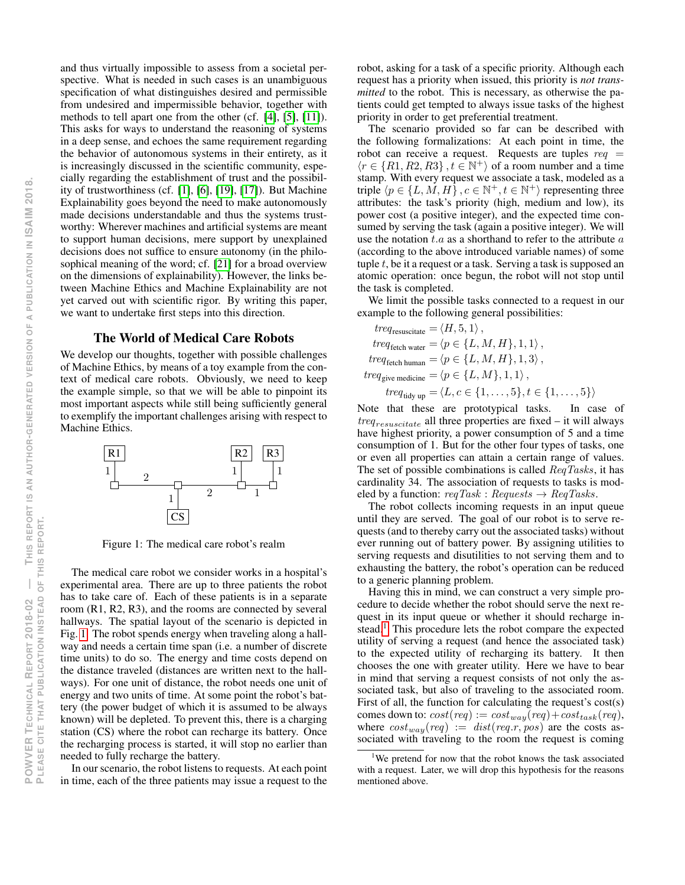and thus virtually impossible to assess from a societal perspective. What is needed in such cases is an unambiguous specification of what distinguishes desired and permissible from undesired and impermissible behavior, together with methods to tell apart one from the other (cf. [\[4\]](#page-8-8), [\[5\]](#page-8-9), [\[11\]](#page-8-10)). This asks for ways to understand the reasoning of systems in a deep sense, and echoes the same requirement regarding the behavior of autonomous systems in their entirety, as it is increasingly discussed in the scientific community, especially regarding the establishment of trust and the possibility of trustworthiness (cf. [\[1\]](#page-8-11), [\[6\]](#page-8-12), [\[19\]](#page-8-13), [\[17\]](#page-8-14)). But Machine Explainability goes beyond the need to make autonomously made decisions understandable and thus the systems trustworthy: Wherever machines and artificial systems are meant to support human decisions, mere support by unexplained decisions does not suffice to ensure autonomy (in the philosophical meaning of the word; cf. [\[21\]](#page-8-15) for a broad overview on the dimensions of explainability). However, the links between Machine Ethics and Machine Explainability are not yet carved out with scientific rigor. By writing this paper, we want to undertake first steps into this direction.

## The World of Medical Care Robots

We develop our thoughts, together with possible challenges of Machine Ethics, by means of a toy example from the context of medical care robots. Obviously, we need to keep the example simple, so that we will be able to pinpoint its most important aspects while still being sufficiently general to exemplify the important challenges arising with respect to Machine Ethics.



<span id="page-2-0"></span>Figure 1: The medical care robot's realm

The medical care robot we consider works in a hospital's experimental area. There are up to three patients the robot has to take care of. Each of these patients is in a separate room (R1, R2, R3), and the rooms are connected by several hallways. The spatial layout of the scenario is depicted in Fig. [1.](#page-2-0) The robot spends energy when traveling along a hallway and needs a certain time span (i.e. a number of discrete time units) to do so. The energy and time costs depend on the distance traveled (distances are written next to the hallways). For one unit of distance, the robot needs one unit of energy and two units of time. At some point the robot's battery (the power budget of which it is assumed to be always known) will be depleted. To prevent this, there is a charging station (CS) where the robot can recharge its battery. Once the recharging process is started, it will stop no earlier than needed to fully recharge the battery.

In our scenario, the robot listens to requests. At each point in time, each of the three patients may issue a request to the robot, asking for a task of a specific priority. Although each request has a priority when issued, this priority is *not transmitted* to the robot. This is necessary, as otherwise the patients could get tempted to always issue tasks of the highest priority in order to get preferential treatment.

The scenario provided so far can be described with the following formalizations: At each point in time, the robot can receive a request. Requests are tuples  $req =$  $\langle r \in \{R1, R2, R3\}, t \in \mathbb{N}^+\rangle$  of a room number and a time stamp. With every request we associate a task, modeled as a triple  $\langle p \in \{L, M, H\}$ ,  $c \in \mathbb{N}^+, t \in \mathbb{N}^+$  representing three attributes: the task's priority (high, medium and low), its power cost (a positive integer), and the expected time consumed by serving the task (again a positive integer). We will use the notation  $t.a$  as a shorthand to refer to the attribute  $a$ (according to the above introduced variable names) of some tuple  $t$ , be it a request or a task. Serving a task is supposed an atomic operation: once begun, the robot will not stop until the task is completed.

We limit the possible tasks connected to a request in our example to the following general possibilities:

$$
treq_{\text{resuscitate}} = \langle H, 5, 1 \rangle,
$$
  
\n
$$
treq_{\text{feich water}} = \langle p \in \{L, M, H\}, 1, 1 \rangle,
$$
  
\n
$$
treq_{\text{fetch human}} = \langle p \in \{L, M, H\}, 1, 3 \rangle,
$$
  
\n
$$
treq_{\text{give medicine}} = \langle p \in \{L, M\}, 1, 1 \rangle,
$$
  
\n
$$
treq_{\text{tidy up}} = \langle L, c \in \{1, \dots, 5\}, t \in \{1, \dots, 5\} \rangle
$$

Note that these are prototypical tasks. In case of  $treq_{resuscitate}$  all three properties are fixed – it will always have highest priority, a power consumption of 5 and a time consumption of 1. But for the other four types of tasks, one or even all properties can attain a certain range of values. The set of possible combinations is called ReqTasks, it has cardinality 34. The association of requests to tasks is modeled by a function:  $reqTask : Requests \rightarrow ReqTasks$ .

The robot collects incoming requests in an input queue until they are served. The goal of our robot is to serve requests (and to thereby carry out the associated tasks) without ever running out of battery power. By assigning utilities to serving requests and disutilities to not serving them and to exhausting the battery, the robot's operation can be reduced to a generic planning problem.

Having this in mind, we can construct a very simple procedure to decide whether the robot should serve the next request in its input queue or whether it should recharge in-stead.<sup>[1](#page-2-1)</sup> This procedure lets the robot compare the expected utility of serving a request (and hence the associated task) to the expected utility of recharging its battery. It then chooses the one with greater utility. Here we have to bear in mind that serving a request consists of not only the associated task, but also of traveling to the associated room. First of all, the function for calculating the request's cost(s) comes down to:  $cost(req) := cost_{way}(req) + cost_{task}(req),$ where  $cost_{way}(req) := dist(req.r, pos)$  are the costs associated with traveling to the room the request is coming

<span id="page-2-1"></span><sup>&</sup>lt;sup>1</sup>We pretend for now that the robot knows the task associated with a request. Later, we will drop this hypothesis for the reasons mentioned above.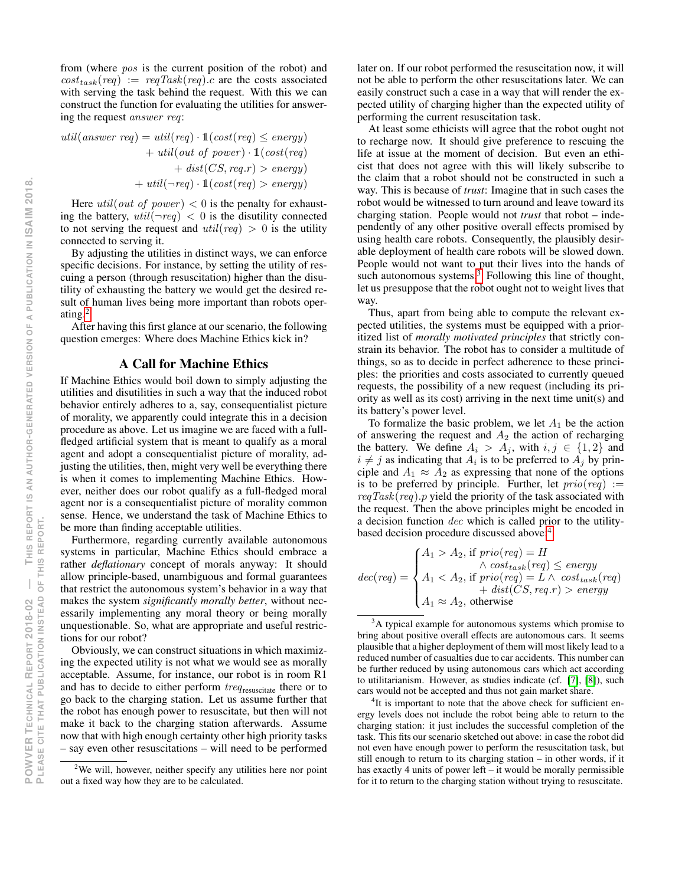from (where pos is the current position of the robot) and  $cost_{task}(req) := \text{reqTask}(req) \text{ .} c$  are the costs associated with serving the task behind the request. With this we can construct the function for evaluating the utilities for answering the request answer req:

$$
util(answer \text{ } req) = util(req) \cdot \mathbb{1}(cost(req) \le energy) + util(out \text{ } of \text{ } power) \cdot \mathbb{1}(cost(req) + dist(CS, req.r) > energy) + util(\neg req) \cdot \mathbb{1}(cost(req) > energy)
$$

Here *util*(*out of power*)  $< 0$  is the penalty for exhausting the battery,  $util(\neg req) < 0$  is the disutility connected to not serving the request and  $util(\text{req}) > 0$  is the utility connected to serving it.

By adjusting the utilities in distinct ways, we can enforce specific decisions. For instance, by setting the utility of rescuing a person (through resuscitation) higher than the disutility of exhausting the battery we would get the desired result of human lives being more important than robots operating.[2](#page-3-0)

After having this first glance at our scenario, the following question emerges: Where does Machine Ethics kick in?

# A Call for Machine Ethics

If Machine Ethics would boil down to simply adjusting the utilities and disutilities in such a way that the induced robot behavior entirely adheres to a, say, consequentialist picture of morality, we apparently could integrate this in a decision procedure as above. Let us imagine we are faced with a fullfledged artificial system that is meant to qualify as a moral agent and adopt a consequentialist picture of morality, adjusting the utilities, then, might very well be everything there is when it comes to implementing Machine Ethics. However, neither does our robot qualify as a full-fledged moral agent nor is a consequentialist picture of morality common sense. Hence, we understand the task of Machine Ethics to be more than finding acceptable utilities.

Furthermore, regarding currently available autonomous systems in particular, Machine Ethics should embrace a rather *deflationary* concept of morals anyway: It should allow principle-based, unambiguous and formal guarantees that restrict the autonomous system's behavior in a way that makes the system *significantly morally better*, without necessarily implementing any moral theory or being morally unquestionable. So, what are appropriate and useful restrictions for our robot?

Obviously, we can construct situations in which maximizing the expected utility is not what we would see as morally acceptable. Assume, for instance, our robot is in room R1 and has to decide to either perform  $treq$ <sub>resuscitate</sub> there or to go back to the charging station. Let us assume further that the robot has enough power to resuscitate, but then will not make it back to the charging station afterwards. Assume now that with high enough certainty other high priority tasks – say even other resuscitations – will need to be performed

later on. If our robot performed the resuscitation now, it will not be able to perform the other resuscitations later. We can easily construct such a case in a way that will render the expected utility of charging higher than the expected utility of performing the current resuscitation task.

At least some ethicists will agree that the robot ought not to recharge now. It should give preference to rescuing the life at issue at the moment of decision. But even an ethicist that does not agree with this will likely subscribe to the claim that a robot should not be constructed in such a way. This is because of *trust*: Imagine that in such cases the robot would be witnessed to turn around and leave toward its charging station. People would not *trust* that robot – independently of any other positive overall effects promised by using health care robots. Consequently, the plausibly desirable deployment of health care robots will be slowed down. People would not want to put their lives into the hands of such autonomous systems. $3$  Following this line of thought, let us presuppose that the robot ought not to weight lives that way.

Thus, apart from being able to compute the relevant expected utilities, the systems must be equipped with a prioritized list of *morally motivated principles* that strictly constrain its behavior. The robot has to consider a multitude of things, so as to decide in perfect adherence to these principles: the priorities and costs associated to currently queued requests, the possibility of a new request (including its priority as well as its cost) arriving in the next time unit(s) and its battery's power level.

To formalize the basic problem, we let  $A_1$  be the action of answering the request and  $A_2$  the action of recharging the battery. We define  $A_i > A_j$ , with  $i, j \in \{1, 2\}$  and  $i \neq j$  as indicating that  $A_i$  is to be preferred to  $A_j$  by principle and  $A_1 \approx A_2$  as expressing that none of the options is to be preferred by principle. Further, let  $prio (req) :=$  $reqTask(req)$ . p yield the priority of the task associated with the request. Then the above principles might be encoded in a decision function dec which is called prior to the utilitybased decision procedure discussed above:[4](#page-3-2)

$$
dec(req) = \begin{cases} A_1 > A_2, \text{ if } prio(req) = H \\ \wedge cost_{task}(req) \le energy \\ A_1 < A_2, \text{ if } prio(req) = L \wedge cost_{task}(req) \\ + dist(CS, req.r) > energy \\ A_1 \approx A_2, \text{ otherwise} \end{cases}
$$

<span id="page-3-0"></span><sup>&</sup>lt;sup>2</sup>We will, however, neither specify any utilities here nor point out a fixed way how they are to be calculated.

<span id="page-3-1"></span><sup>&</sup>lt;sup>3</sup>A typical example for autonomous systems which promise to bring about positive overall effects are autonomous cars. It seems plausible that a higher deployment of them will most likely lead to a reduced number of casualties due to car accidents. This number can be further reduced by using autonomous cars which act according to utilitarianism. However, as studies indicate (cf. [\[7\]](#page-8-16), [\[8\]](#page-8-17)), such cars would not be accepted and thus not gain market share.

<span id="page-3-2"></span><sup>&</sup>lt;sup>4</sup>It is important to note that the above check for sufficient energy levels does not include the robot being able to return to the charging station: it just includes the successful completion of the task. This fits our scenario sketched out above: in case the robot did not even have enough power to perform the resuscitation task, but still enough to return to its charging station – in other words, if it has exactly 4 units of power left – it would be morally permissible for it to return to the charging station without trying to resuscitate.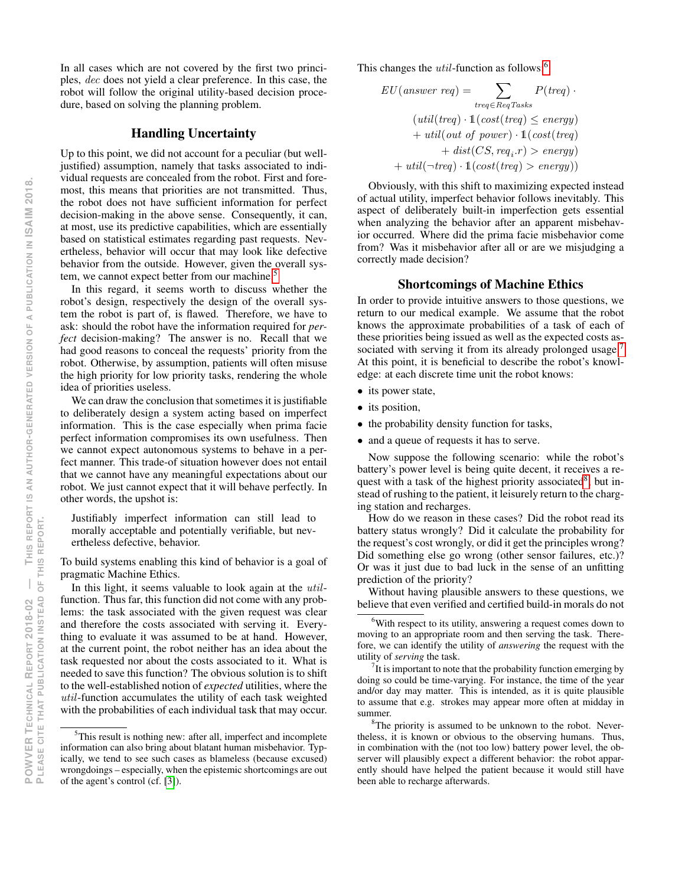In all cases which are not covered by the first two principles, dec does not yield a clear preference. In this case, the robot will follow the original utility-based decision procedure, based on solving the planning problem.

# Handling Uncertainty

Up to this point, we did not account for a peculiar (but welljustified) assumption, namely that tasks associated to individual requests are concealed from the robot. First and foremost, this means that priorities are not transmitted. Thus, the robot does not have sufficient information for perfect decision-making in the above sense. Consequently, it can, at most, use its predictive capabilities, which are essentially based on statistical estimates regarding past requests. Nevertheless, behavior will occur that may look like defective behavior from the outside. However, given the overall sys-tem, we cannot expect better from our machine.<sup>[5](#page-4-0)</sup>

In this regard, it seems worth to discuss whether the robot's design, respectively the design of the overall system the robot is part of, is flawed. Therefore, we have to ask: should the robot have the information required for *perfect* decision-making? The answer is no. Recall that we had good reasons to conceal the requests' priority from the robot. Otherwise, by assumption, patients will often misuse the high priority for low priority tasks, rendering the whole idea of priorities useless.

We can draw the conclusion that sometimes it is justifiable to deliberately design a system acting based on imperfect information. This is the case especially when prima facie perfect information compromises its own usefulness. Then we cannot expect autonomous systems to behave in a perfect manner. This trade-of situation however does not entail that we cannot have any meaningful expectations about our robot. We just cannot expect that it will behave perfectly. In other words, the upshot is:

Justifiably imperfect information can still lead to morally acceptable and potentially verifiable, but nevertheless defective, behavior.

To build systems enabling this kind of behavior is a goal of pragmatic Machine Ethics.

In this light, it seems valuable to look again at the *util*function. Thus far, this function did not come with any problems: the task associated with the given request was clear and therefore the costs associated with serving it. Everything to evaluate it was assumed to be at hand. However, at the current point, the robot neither has an idea about the task requested nor about the costs associated to it. What is needed to save this function? The obvious solution is to shift to the well-established notion of *expected* utilities, where the util-function accumulates the utility of each task weighted with the probabilities of each individual task that may occur. This changes the *util*-function as follows:<sup>[6](#page-4-1)</sup>

$$
EU(answer \, req) = \sum_{treq \in RegTasks} P(treq) \cdot
$$

$$
(util(treq) \cdot 1(cost(treq) \le energy) + util(out \, of \, power) \cdot 1(cost(treq) + dist(CS, req, r) > energy) + util(\neg treq) \cdot 1(cost(treq) > energy))
$$

Obviously, with this shift to maximizing expected instead of actual utility, imperfect behavior follows inevitably. This aspect of deliberately built-in imperfection gets essential when analyzing the behavior after an apparent misbehavior occurred. Where did the prima facie misbehavior come from? Was it misbehavior after all or are we misjudging a correctly made decision?

#### Shortcomings of Machine Ethics

In order to provide intuitive answers to those questions, we return to our medical example. We assume that the robot knows the approximate probabilities of a task of each of these priorities being issued as well as the expected costs as-sociated with serving it from its already prolonged usage.<sup>[7](#page-4-2)</sup> At this point, it is beneficial to describe the robot's knowledge: at each discrete time unit the robot knows:

- its power state,
- its position,
- the probability density function for tasks,
- and a queue of requests it has to serve.

Now suppose the following scenario: while the robot's battery's power level is being quite decent, it receives a re-quest with a task of the highest priority associated<sup>[8](#page-4-3)</sup>, but instead of rushing to the patient, it leisurely return to the charging station and recharges.

How do we reason in these cases? Did the robot read its battery status wrongly? Did it calculate the probability for the request's cost wrongly, or did it get the principles wrong? Did something else go wrong (other sensor failures, etc.)? Or was it just due to bad luck in the sense of an unfitting prediction of the priority?

Without having plausible answers to these questions, we believe that even verified and certified build-in morals do not

<span id="page-4-0"></span><sup>5</sup>This result is nothing new: after all, imperfect and incomplete information can also bring about blatant human misbehavior. Typically, we tend to see such cases as blameless (because excused) wrongdoings – especially, when the epistemic shortcomings are out of the agent's control (cf. [\[3\]](#page-8-18)).

<span id="page-4-1"></span><sup>&</sup>lt;sup>6</sup>With respect to its utility, answering a request comes down to moving to an appropriate room and then serving the task. Therefore, we can identify the utility of *answering* the request with the utility of *serving* the task.

<span id="page-4-2"></span> $7$ It is important to note that the probability function emerging by doing so could be time-varying. For instance, the time of the year and/or day may matter. This is intended, as it is quite plausible to assume that e.g. strokes may appear more often at midday in summer.

<span id="page-4-3"></span><sup>&</sup>lt;sup>8</sup>The priority is assumed to be unknown to the robot. Nevertheless, it is known or obvious to the observing humans. Thus, in combination with the (not too low) battery power level, the observer will plausibly expect a different behavior: the robot apparently should have helped the patient because it would still have been able to recharge afterwards.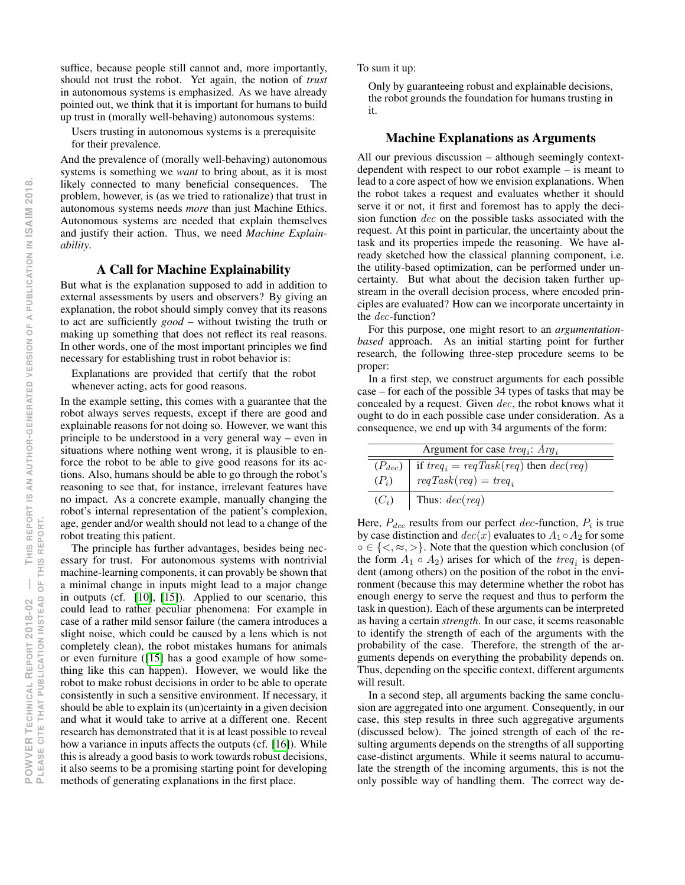suffice, because people still cannot and, more importantly, should not trust the robot. Yet again, the notion of *trust* in autonomous systems is emphasized. As we have already pointed out, we think that it is important for humans to build up trust in (morally well-behaving) autonomous systems:

Users trusting in autonomous systems is a prerequisite for their prevalence.

And the prevalence of (morally well-behaving) autonomous systems is something we *want* to bring about, as it is most likely connected to many beneficial consequences. The problem, however, is (as we tried to rationalize) that trust in autonomous systems needs *more* than just Machine Ethics. Autonomous systems are needed that explain themselves and justify their action. Thus, we need *Machine Explainability*.

# A Call for Machine Explainability

But what is the explanation supposed to add in addition to external assessments by users and observers? By giving an explanation, the robot should simply convey that its reasons to act are sufficiently *good* – without twisting the truth or making up something that does not reflect its real reasons. In other words, one of the most important principles we find necessary for establishing trust in robot behavior is:

Explanations are provided that certify that the robot whenever acting, acts for good reasons.

In the example setting, this comes with a guarantee that the robot always serves requests, except if there are good and explainable reasons for not doing so. However, we want this principle to be understood in a very general way – even in situations where nothing went wrong, it is plausible to enforce the robot to be able to give good reasons for its actions. Also, humans should be able to go through the robot's reasoning to see that, for instance, irrelevant features have no impact. As a concrete example, manually changing the robot's internal representation of the patient's complexion, age, gender and/or wealth should not lead to a change of the robot treating this patient.

The principle has further advantages, besides being necessary for trust. For autonomous systems with nontrivial machine-learning components, it can provably be shown that a minimal change in inputs might lead to a major change in outputs (cf. [\[10\]](#page-8-19), [\[15\]](#page-8-20)). Applied to our scenario, this could lead to rather peculiar phenomena: For example in case of a rather mild sensor failure (the camera introduces a slight noise, which could be caused by a lens which is not completely clean), the robot mistakes humans for animals or even furniture ([\[15\]](#page-8-20) has a good example of how something like this can happen). However, we would like the robot to make robust decisions in order to be able to operate consistently in such a sensitive environment. If necessary, it should be able to explain its (un)certainty in a given decision and what it would take to arrive at a different one. Recent research has demonstrated that it is at least possible to reveal how a variance in inputs affects the outputs (cf. [\[16\]](#page-8-21)). While this is already a good basis to work towards robust decisions, it also seems to be a promising starting point for developing methods of generating explanations in the first place.

To sum it up:

Only by guaranteeing robust and explainable decisions, the robot grounds the foundation for humans trusting in it.

# Machine Explanations as Arguments

All our previous discussion – although seemingly contextdependent with respect to our robot example – is meant to lead to a core aspect of how we envision explanations. When the robot takes a request and evaluates whether it should serve it or not, it first and foremost has to apply the decision function dec on the possible tasks associated with the request. At this point in particular, the uncertainty about the task and its properties impede the reasoning. We have already sketched how the classical planning component, i.e. the utility-based optimization, can be performed under uncertainty. But what about the decision taken further upstream in the overall decision process, where encoded principles are evaluated? How can we incorporate uncertainty in the dec-function?

For this purpose, one might resort to an *argumentationbased* approach. As an initial starting point for further research, the following three-step procedure seems to be proper:

In a first step, we construct arguments for each possible case – for each of the possible 34 types of tasks that may be concealed by a request. Given dec, the robot knows what it ought to do in each possible case under consideration. As a consequence, we end up with 34 arguments of the form:

| Argument for case $treq_i$ : $Arg_i$ |                                                            |  |
|--------------------------------------|------------------------------------------------------------|--|
|                                      | $(P_{dec})$   if $treq_i = reqTask (req)$ then $dec (req)$ |  |
| $(P_i)$                              | $reqTask (req) = treq_i$                                   |  |
| $(C_i)$                              | Thus: $dec(\text{req})$                                    |  |

Here,  $P_{dec}$  results from our perfect dec-function,  $P_i$  is true by case distinction and  $dec(x)$  evaluates to  $A_1 \circ A_2$  for some  $\circ \in \{ \langle \rangle, \approx, \rangle \}$ . Note that the question which conclusion (of the form  $A_1 \circ A_2$ ) arises for which of the  $treq_i$  is dependent (among others) on the position of the robot in the environment (because this may determine whether the robot has enough energy to serve the request and thus to perform the task in question). Each of these arguments can be interpreted as having a certain *strength*. In our case, it seems reasonable to identify the strength of each of the arguments with the probability of the case. Therefore, the strength of the arguments depends on everything the probability depends on. Thus, depending on the specific context, different arguments will result.

In a second step, all arguments backing the same conclusion are aggregated into one argument. Consequently, in our case, this step results in three such aggregative arguments (discussed below). The joined strength of each of the resulting arguments depends on the strengths of all supporting case-distinct arguments. While it seems natural to accumulate the strength of the incoming arguments, this is not the only possible way of handling them. The correct way de-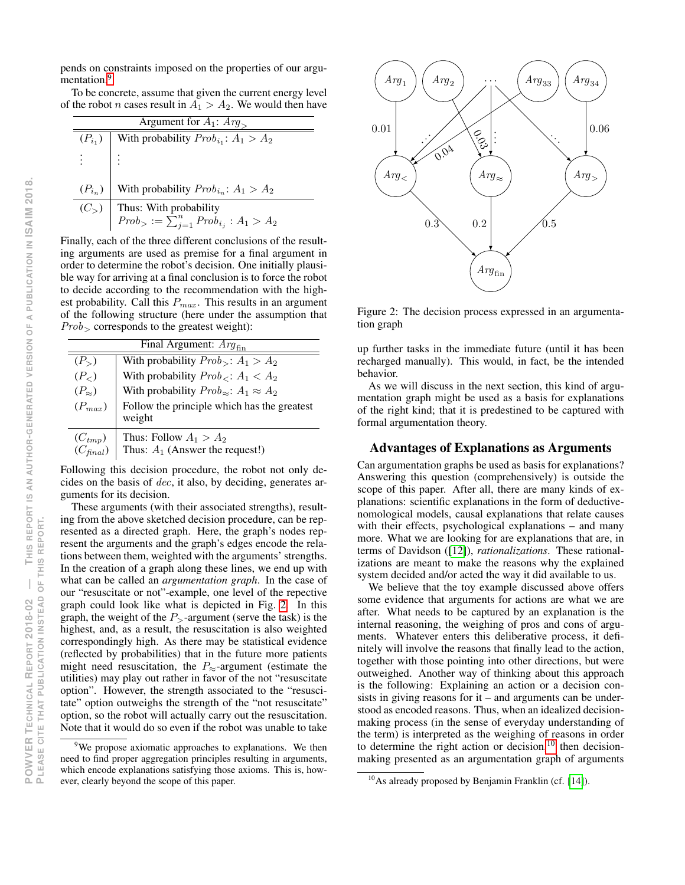To be concrete, assume that given the current energy level of the robot *n* cases result in  $A_1 > A_2$ . We would then have

| Argument for $A_1$ : $Arg_{\geq}$ |                                                                                                |  |
|-----------------------------------|------------------------------------------------------------------------------------------------|--|
| $(P_{i_1})$                       | With probability $Prob_{i_1}: A_1 > A_2$                                                       |  |
| $\mathbb{R}^{\mathbb{Z}}$ :       |                                                                                                |  |
|                                   | $(P_{i_n})$ With probability $Prob_{i_n}: A_1 > A_2$                                           |  |
|                                   | (C <sub>&gt;</sub> ) Thus: With probability<br>$Prob_0 := \sum_{j=1}^n Prob_{i_j} : A_1 > A_2$ |  |
|                                   |                                                                                                |  |

Finally, each of the three different conclusions of the resulting arguments are used as premise for a final argument in order to determine the robot's decision. One initially plausible way for arriving at a final conclusion is to force the robot to decide according to the recommendation with the highest probability. Call this  $P_{max}$ . This results in an argument of the following structure (here under the assumption that  $Prob<sub>></sub>$  corresponds to the greatest weight):

| Final Argument: $Arg_{fin}$  |                                                               |  |
|------------------------------|---------------------------------------------------------------|--|
| $(P_{>})$                    | With probability $Prob_1$ : $A_1 > A_2$                       |  |
| $(P_{\leq})$                 | With probability $Prob_{\leq}$ : $A_1 < A_2$                  |  |
| $(P_{\approx})$              | With probability $Prob_{\approx}$ : $A_1 \approx A_2$         |  |
| $(P_{max})$                  | Follow the principle which has the greatest<br>weight         |  |
| $(C_{tmp})$<br>$(C_{final})$ | Thus: Follow $A_1 > A_2$<br>Thus: $A_1$ (Answer the request!) |  |

Following this decision procedure, the robot not only decides on the basis of dec, it also, by deciding, generates arguments for its decision.

These arguments (with their associated strengths), resulting from the above sketched decision procedure, can be represented as a directed graph. Here, the graph's nodes represent the arguments and the graph's edges encode the relations between them, weighted with the arguments' strengths. In the creation of a graph along these lines, we end up with what can be called an *argumentation graph*. In the case of our "resuscitate or not"-example, one level of the repective graph could look like what is depicted in Fig. [2.](#page-6-1) In this graph, the weight of the  $P_{\ge}$ -argument (serve the task) is the highest, and, as a result, the resuscitation is also weighted correspondingly high. As there may be statistical evidence (reflected by probabilities) that in the future more patients might need resuscitation, the  $P_{\approx}$ -argument (estimate the utilities) may play out rather in favor of the not "resuscitate option". However, the strength associated to the "resuscitate" option outweighs the strength of the "not resuscitate" option, so the robot will actually carry out the resuscitation. Note that it would do so even if the robot was unable to take



<span id="page-6-1"></span>Figure 2: The decision process expressed in an argumentation graph

up further tasks in the immediate future (until it has been recharged manually). This would, in fact, be the intended behavior.

As we will discuss in the next section, this kind of argumentation graph might be used as a basis for explanations of the right kind; that it is predestined to be captured with formal argumentation theory.

## Advantages of Explanations as Arguments

Can argumentation graphs be used as basis for explanations? Answering this question (comprehensively) is outside the scope of this paper. After all, there are many kinds of explanations: scientific explanations in the form of deductivenomological models, causal explanations that relate causes with their effects, psychological explanations – and many more. What we are looking for are explanations that are, in terms of Davidson ([\[12\]](#page-8-22)), *rationalizations*. These rationalizations are meant to make the reasons why the explained system decided and/or acted the way it did available to us.

We believe that the toy example discussed above offers some evidence that arguments for actions are what we are after. What needs to be captured by an explanation is the internal reasoning, the weighing of pros and cons of arguments. Whatever enters this deliberative process, it definitely will involve the reasons that finally lead to the action, together with those pointing into other directions, but were outweighed. Another way of thinking about this approach is the following: Explaining an action or a decision consists in giving reasons for it – and arguments can be understood as encoded reasons. Thus, when an idealized decisionmaking process (in the sense of everyday understanding of the term) is interpreted as the weighing of reasons in order to determine the right action or decision, $10$  then decisionmaking presented as an argumentation graph of arguments

<span id="page-6-0"></span><sup>&</sup>lt;sup>9</sup>We propose axiomatic approaches to explanations. We then need to find proper aggregation principles resulting in arguments, which encode explanations satisfying those axioms. This is, however, clearly beyond the scope of this paper.

<span id="page-6-2"></span> $10$ As already proposed by Benjamin Franklin (cf. [\[14\]](#page-8-23)).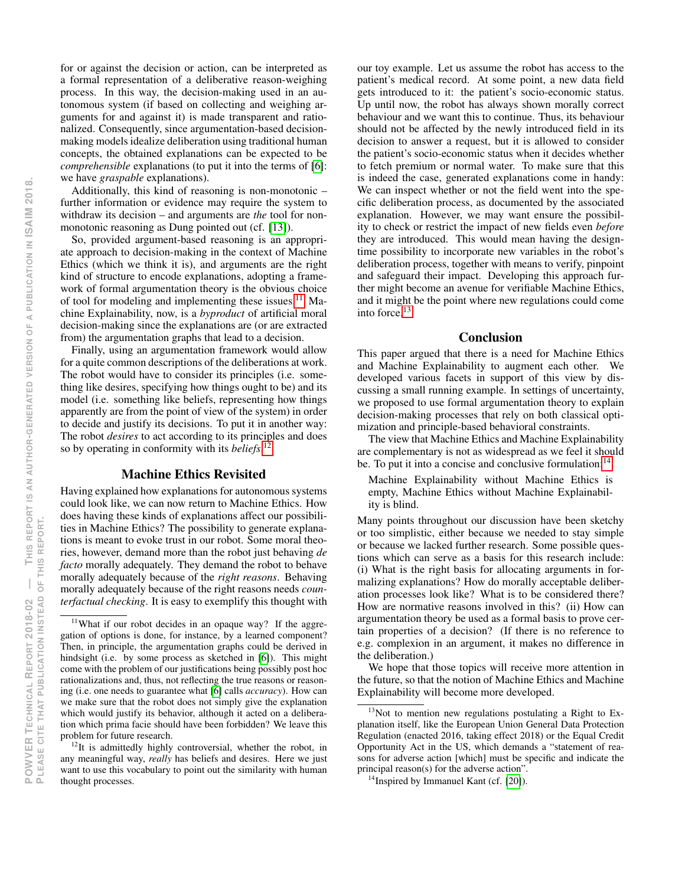for or against the decision or action, can be interpreted as a formal representation of a deliberative reason-weighing process. In this way, the decision-making used in an autonomous system (if based on collecting and weighing arguments for and against it) is made transparent and rationalized. Consequently, since argumentation-based decisionmaking models idealize deliberation using traditional human concepts, the obtained explanations can be expected to be *comprehensible* explanations (to put it into the terms of [\[6\]](#page-8-12): we have *graspable* explanations).

Additionally, this kind of reasoning is non-monotonic – further information or evidence may require the system to withdraw its decision – and arguments are *the* tool for nonmonotonic reasoning as Dung pointed out (cf. [\[13\]](#page-8-24)).

So, provided argument-based reasoning is an appropriate approach to decision-making in the context of Machine Ethics (which we think it is), and arguments are the right kind of structure to encode explanations, adopting a framework of formal argumentation theory is the obvious choice of tool for modeling and implementing these issues.<sup>[11](#page-7-0)</sup> Machine Explainability, now, is a *byproduct* of artificial moral decision-making since the explanations are (or are extracted from) the argumentation graphs that lead to a decision.

Finally, using an argumentation framework would allow for a quite common descriptions of the deliberations at work. The robot would have to consider its principles (i.e. something like desires, specifying how things ought to be) and its model (i.e. something like beliefs, representing how things apparently are from the point of view of the system) in order to decide and justify its decisions. To put it in another way: The robot *desires* to act according to its principles and does so by operating in conformity with its *beliefs*. [12](#page-7-1)

#### Machine Ethics Revisited

Having explained how explanations for autonomous systems could look like, we can now return to Machine Ethics. How does having these kinds of explanations affect our possibilities in Machine Ethics? The possibility to generate explanations is meant to evoke trust in our robot. Some moral theories, however, demand more than the robot just behaving *de facto* morally adequately. They demand the robot to behave morally adequately because of the *right reasons*. Behaving morally adequately because of the right reasons needs *counterfactual checking*. It is easy to exemplify this thought with

our toy example. Let us assume the robot has access to the patient's medical record. At some point, a new data field gets introduced to it: the patient's socio-economic status. Up until now, the robot has always shown morally correct behaviour and we want this to continue. Thus, its behaviour should not be affected by the newly introduced field in its decision to answer a request, but it is allowed to consider the patient's socio-economic status when it decides whether to fetch premium or normal water. To make sure that this is indeed the case, generated explanations come in handy: We can inspect whether or not the field went into the specific deliberation process, as documented by the associated explanation. However, we may want ensure the possibility to check or restrict the impact of new fields even *before* they are introduced. This would mean having the designtime possibility to incorporate new variables in the robot's deliberation process, together with means to verify, pinpoint and safeguard their impact. Developing this approach further might become an avenue for verifiable Machine Ethics, and it might be the point where new regulations could come into force.[13](#page-7-2)

# **Conclusion**

This paper argued that there is a need for Machine Ethics and Machine Explainability to augment each other. We developed various facets in support of this view by discussing a small running example. In settings of uncertainty, we proposed to use formal argumentation theory to explain decision-making processes that rely on both classical optimization and principle-based behavioral constraints.

The view that Machine Ethics and Machine Explainability are complementary is not as widespread as we feel it should be. To put it into a concise and conclusive formulation:<sup>[14](#page-7-3)</sup>

Machine Explainability without Machine Ethics is empty, Machine Ethics without Machine Explainability is blind.

Many points throughout our discussion have been sketchy or too simplistic, either because we needed to stay simple or because we lacked further research. Some possible questions which can serve as a basis for this research include: (i) What is the right basis for allocating arguments in formalizing explanations? How do morally acceptable deliberation processes look like? What is to be considered there? How are normative reasons involved in this? (ii) How can argumentation theory be used as a formal basis to prove certain properties of a decision? (If there is no reference to e.g. complexion in an argument, it makes no difference in the deliberation.)

We hope that those topics will receive more attention in the future, so that the notion of Machine Ethics and Machine Explainability will become more developed.

<span id="page-7-0"></span> $11$ What if our robot decides in an opaque way? If the aggregation of options is done, for instance, by a learned component? Then, in principle, the argumentation graphs could be derived in hindsight (i.e. by some process as sketched in [\[6\]](#page-8-12)). This might come with the problem of our justifications being possibly post hoc rationalizations and, thus, not reflecting the true reasons or reasoning (i.e. one needs to guarantee what [\[6\]](#page-8-12) calls *accuracy*). How can we make sure that the robot does not simply give the explanation which would justify its behavior, although it acted on a deliberation which prima facie should have been forbidden? We leave this problem for future research.

<span id="page-7-1"></span> $12$ It is admittedly highly controversial, whether the robot, in any meaningful way, *really* has beliefs and desires. Here we just want to use this vocabulary to point out the similarity with human thought processes.

<span id="page-7-2"></span><sup>&</sup>lt;sup>13</sup>Not to mention new regulations postulating a Right to Explanation itself, like the European Union General Data Protection Regulation (enacted 2016, taking effect 2018) or the Equal Credit Opportunity Act in the US, which demands a "statement of reasons for adverse action [which] must be specific and indicate the principal reason(s) for the adverse action".

<span id="page-7-3"></span> $14$ Inspired by Immanuel Kant (cf. [\[20\]](#page-8-25)).